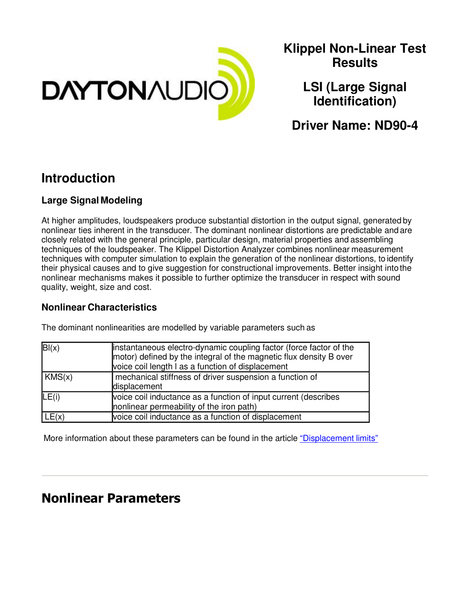

**Klippel Non-Linear Test Results**

> **LSI (Large Signal Identification)**

**Driver Name: ND90-4**

## **Introduction**

#### **Large Signal Modeling**

At higher amplitudes, loudspeakers produce substantial distortion in the output signal, generated by nonlinear ties inherent in the transducer. The dominant nonlinear distortions are predictable and are closely related with the general principle, particular design, material properties and assembling techniques of the loudspeaker. The Klippel Distortion Analyzer combines nonlinear measurement techniques with computer simulation to explain the generation of the nonlinear distortions, to identify their physical causes and to give suggestion for constructional improvements. Better insight into the nonlinear mechanisms makes it possible to further optimize the transducer in respect with sound quality, weight, size and cost.

#### **Nonlinear Characteristics**

| B(x)   | instantaneous electro-dynamic coupling factor (force factor of the<br>motor) defined by the integral of the magnetic flux density B over<br>voice coil length I as a function of displacement |
|--------|-----------------------------------------------------------------------------------------------------------------------------------------------------------------------------------------------|
| KMS(x) | mechanical stiffness of driver suspension a function of<br>displacement                                                                                                                       |
| LE(i)  | voice coil inductance as a function of input current (describes<br>nonlinear permeability of the iron path)                                                                                   |
| LE(x)  | voice coil inductance as a function of displacement                                                                                                                                           |

The dominant nonlinearities are modelled by variable parameters such as

More information about these parameters can be found in the article "Displacement limits"

## Nonlinear Parameters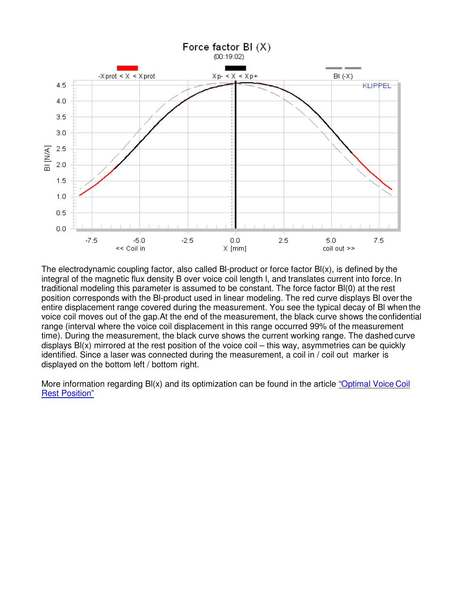

The electrodynamic coupling factor, also called BI-product or force factor  $B(x)$ , is defined by the integral of the magnetic flux density B over voice coil length l, and translates current into force. In traditional modeling this parameter is assumed to be constant. The force factor Bl(0) at the rest position corresponds with the Bl-product used in linear modeling. The red curve displays Bl over the entire displacement range covered during the measurement. You see the typical decay of Bl when the voice coil moves out of the gap.At the end of the measurement, the black curve shows the confidential range (interval where the voice coil displacement in this range occurred 99% of the measurement time). During the measurement, the black curve shows the current working range. The dashed curve displays Bl(x) mirrored at the rest position of the voice coil – this way, asymmetries can be quickly identified. Since a laser was connected during the measurement, a coil in / coil out marker is displayed on the bottom left / bottom right.

More information regarding BI(x) and its optimization can be found in the article "Optimal Voice Coil" Rest Position"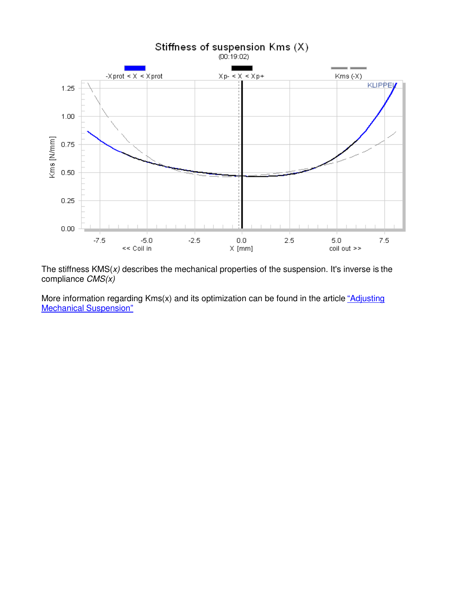

The stiffness  $KMS(x)$  describes the mechanical properties of the suspension. It's inverse is the compliance  $CMS(x)$ 

More information regarding  $Kms(x)$  and its optimization can be found in the article "Adjusting" Mechanical Suspension"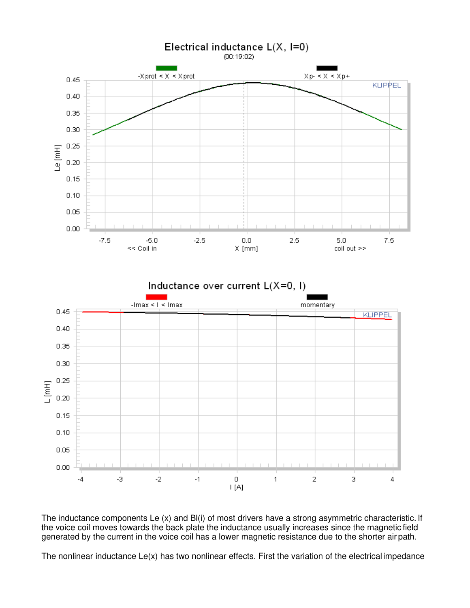

The inductance components Le (x) and Bl(i) of most drivers have a strong asymmetric characteristic. If the voice coil moves towards the back plate the inductance usually increases since the magnetic field generated by the current in the voice coil has a lower magnetic resistance due to the shorter air path.

The nonlinear inductance Le(x) has two nonlinear effects. First the variation of the electrical impedance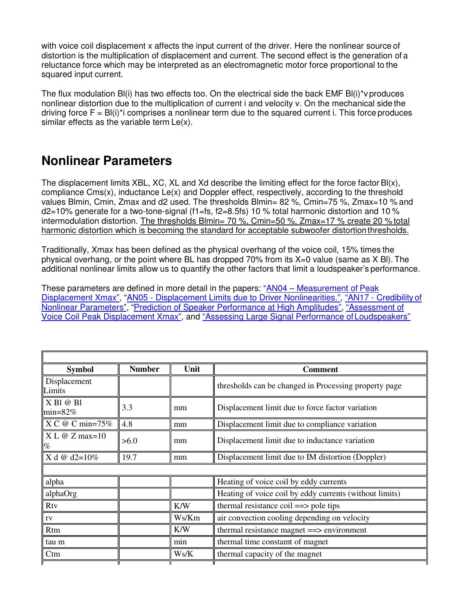with voice coil displacement x affects the input current of the driver. Here the nonlinear source of distortion is the multiplication of displacement and current. The second effect is the generation of a reluctance force which may be interpreted as an electromagnetic motor force proportional to the squared input current.

The flux modulation Bl(i) has two effects too. On the electrical side the back EMF Bl(i)\*v produces nonlinear distortion due to the multiplication of current i and velocity v. On the mechanical side the driving force  $F = B(i)^*i$  comprises a nonlinear term due to the squared current i. This force produces similar effects as the variable term Le(x).

## **Nonlinear Parameters**

The displacement limits XBL, XC, XL and Xd describe the limiting effect for the force factor  $B(x)$ , compliance Cms(x), inductance Le(x) and Doppler effect, respectively, according to the threshold values Blmin, Cmin, Zmax and d2 used. The thresholds Blmin= 82 %, Cmin=75 %, Zmax=10 % and d2=10% generate for a two-tone-signal (f1=fs, f2=8.5fs) 10 % total harmonic distortion and 10 % intermodulation distortion. The thresholds Blmin= 70 %, Cmin=50 %, Zmax=17 % create 20 % total harmonic distortion which is becoming the standard for acceptable subwoofer distortion thresholds.

Traditionally, Xmax has been defined as the physical overhang of the voice coil, 15% times the physical overhang, or the point where BL has dropped 70% from its X=0 value (same as X Bl). The additional nonlinear limits allow us to quantify the other factors that limit a loudspeaker's performance.

These parameters are defined in more detail in the papers: "AN04 – Measurement of Peak Displacement Xmax", "AN05 - Displacement Limits due to Driver Nonlinearities.", "AN17 - Credibility of Nonlinear Parameters", "Prediction of Speaker Performance at High Amplitudes", "Assessment of Voice Coil Peak Displacement Xmax", and "Assessing Large Signal Performance of Loudspeakers"

| <b>Symbol</b>                          | <b>Number</b> | Unit  | <b>Comment</b>                                          |
|----------------------------------------|---------------|-------|---------------------------------------------------------|
| Displacement<br>Limits                 |               |       | thresholds can be changed in Processing property page   |
| $X$ Bl $@$ Bl<br>$\text{min}=82\%$     | 3.3           | mm    | Displacement limit due to force factor variation        |
| $X \subset \omega \subset \min = 75\%$ | 4.8           | mm    | Displacement limit due to compliance variation          |
| $X L @ Z max=10$<br>$\%$               | >6.0          | mm    | Displacement limit due to inductance variation          |
| X d @ d2= $10\%$                       | 19.7          | mm    | Displacement limit due to IM distortion (Doppler)       |
|                                        |               |       |                                                         |
| alpha                                  |               |       | Heating of voice coil by eddy currents                  |
| alphaOrg                               |               |       | Heating of voice coil by eddy currents (without limits) |
| <b>Rtv</b>                             |               | K/W   | thermal resistance coil $\equiv$ > pole tips            |
| $\rm rv$                               |               | Ws/Km | air convection cooling depending on velocity            |
| Rtm                                    |               | K/W   | thermal resistance magnet = = > environment             |
| tau m                                  |               | min   | thermal time constamt of magnet                         |
| Ctm                                    |               | Ws/K  | thermal capacity of the magnet                          |
|                                        |               |       |                                                         |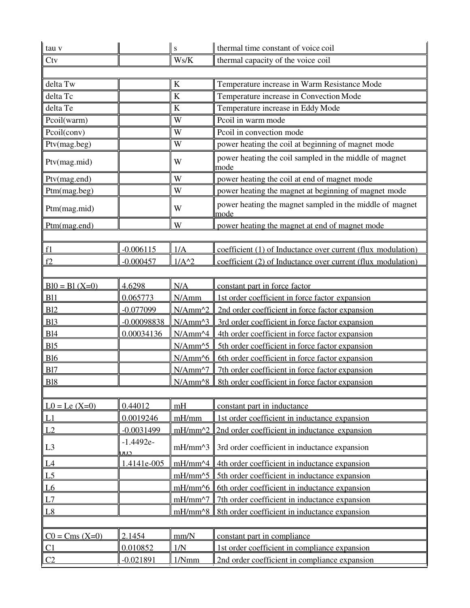| tau v            |                           | S                  | thermal time constant of voice coil                              |  |
|------------------|---------------------------|--------------------|------------------------------------------------------------------|--|
| <b>Ctv</b>       |                           | Ws/K               | thermal capacity of the voice coil                               |  |
|                  |                           |                    |                                                                  |  |
| delta Tw         |                           | $\bf K$            | Temperature increase in Warm Resistance Mode                     |  |
| delta Tc         |                           | $\bf K$            | Temperature increase in Convection Mode                          |  |
| delta Te         |                           | $\bf K$            | Temperature increase in Eddy Mode                                |  |
| Pcoil(warm)      |                           | W                  | Pcoil in warm mode                                               |  |
| Pcoil(conv)      |                           | W                  | Pcoil in convection mode                                         |  |
| Ptv(mag.beg)     |                           | W                  | power heating the coil at beginning of magnet mode               |  |
| Ptv(mag.mid)     |                           | W                  | power heating the coil sampled in the middle of magnet<br>mode   |  |
| Ptv(mag.end)     |                           | W                  | power heating the coil at end of magnet mode                     |  |
| Ptm(mag.beg)     |                           | W                  | power heating the magnet at beginning of magnet mode             |  |
| Ptm(mag.mid)     |                           | W                  | power heating the magnet sampled in the middle of magnet<br>mode |  |
| Ptm(mag.end)     |                           | W                  | power heating the magnet at end of magnet mode                   |  |
|                  |                           |                    |                                                                  |  |
| f1               | $-0.006115$               | 1/A                | coefficient (1) of Inductance over current (flux modulation)     |  |
| f2               | $-0.000457$               | $1/A^2$            | coefficient (2) of Inductance over current (flux modulation)     |  |
|                  |                           |                    |                                                                  |  |
| $B10 = B1 (X=0)$ | 4.6298                    | N/A                | constant part in force factor                                    |  |
| <b>B11</b>       | 0.065773                  | N/Amm              | 1st order coefficient in force factor expansion                  |  |
| <b>B12</b>       | $-0.077099$               | $N/Amm^2$          | 2nd order coefficient in force factor expansion                  |  |
| <b>B13</b>       | $-0.00098838$             | $N/Amm^3$          | 3rd order coefficient in force factor expansion                  |  |
| <b>B14</b>       | 0.00034136                | $N/Amm^{4}$        | 4th order coefficient in force factor expansion                  |  |
| B15              |                           | $N/Amm^5$          | 5th order coefficient in force factor expansion                  |  |
| <b>B16</b>       |                           | $N/Amm^{6}$        | 6th order coefficient in force factor expansion                  |  |
| <b>B17</b>       |                           | $N/Amm^2$          | 7th order coefficient in force factor expansion                  |  |
| <b>B18</b>       |                           |                    | <u>N/Amm^8   8th order coefficient in force factor expansion</u> |  |
|                  |                           |                    |                                                                  |  |
| $L0 = Le (X=0)$  | 0.44012                   | mH                 | constant part in inductance                                      |  |
| L1               | 0.0019246                 | mH/mm              | 1st order coefficient in inductance expansion                    |  |
| L2               | $-0.0031499$              | $mH/mm^2$          | 2nd order coefficient in inductance expansion                    |  |
| L <sub>3</sub>   | $-1.4492e-$<br><u>UUD</u> | $mH/mm \, 3$       | 3rd order coefficient in inductance expansion                    |  |
| L4               | 1.4141e-005               | $mH/mm \sim 4$     | 4th order coefficient in inductance expansion                    |  |
| L <sub>5</sub>   |                           | mH/mm^5            | 5th order coefficient in inductance expansion                    |  |
| $\underline{L6}$ |                           | $mH/mm^{6}$        | 6th order coefficient in inductance expansion                    |  |
| L7               |                           | mH/mm^7            | 7th order coefficient in inductance expansion                    |  |
| L8               |                           | $mH/mm \uparrow 8$ | 8th order coefficient in inductance expansion                    |  |
|                  |                           |                    |                                                                  |  |
| $C0 = Cms (X=0)$ | 2.1454                    | mm/N               | constant part in compliance                                      |  |
| C <sub>1</sub>   | 0.010852                  | 1/N                | 1st order coefficient in compliance expansion                    |  |
| C <sub>2</sub>   | $-0.021891$               | 1/Nmm              | 2nd order coefficient in compliance expansion                    |  |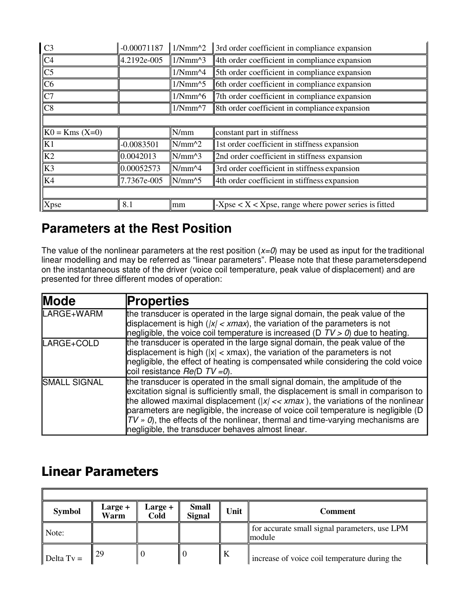| C <sub>3</sub>         | $-0.00071187$         | $1/Nmm^2$                                                    | 3rd order coefficient in compliance expansion                |  |
|------------------------|-----------------------|--------------------------------------------------------------|--------------------------------------------------------------|--|
| C4                     | 4.2192e-005           | $1/Nmm^{3}$                                                  | 4th order coefficient in compliance expansion                |  |
| $\overline{\text{C5}}$ |                       | 5th order coefficient in compliance expansion<br>$1/Nmm^{4}$ |                                                              |  |
| C6                     |                       | $1/Nmm^{5}$                                                  | 6th order coefficient in compliance expansion                |  |
| C7                     |                       | $1/Nmm^{6}$                                                  | 7th order coefficient in compliance expansion                |  |
| C8                     |                       | $1/Nmm^{2}$                                                  | 8th order coefficient in compliance expansion                |  |
|                        |                       |                                                              |                                                              |  |
| $K0 = Kms (X=0)$       |                       | N/mm                                                         | constant part in stiffness                                   |  |
| K1                     | $-0.0083501$          | $\vert\vert N/mm \wedge 2$                                   | 1st order coefficient in stiffness expansion                 |  |
| K <sub>2</sub>         | $\parallel$ 0.0042013 | $\text{N/mm}^3$                                              | 2nd order coefficient in stiffness expansion                 |  |
| K3                     | 0.00052573            | $\text{N/mm}^4$                                              | 3rd order coefficient in stiffness expansion                 |  |
| K4                     | 7.7367e-005           | $\text{N/mm}^5$                                              | 4th order coefficient in stiffness expansion                 |  |
|                        |                       |                                                              |                                                              |  |
| <b>Xpse</b>            | 8.1                   | mm                                                           | $-X$ pse < $X$ < $X$ pse, range where power series is fitted |  |

## **Parameters at the Rest Position**

The value of the nonlinear parameters at the rest position  $(x=0)$  may be used as input for the traditional linear modelling and may be referred as "linear parameters". Please note that these parameters depend on the instantaneous state of the driver (voice coil temperature, peak value of displacement) and are presented for three different modes of operation:

| <b>Mode</b>         | <b>Properties</b>                                                                                                                                                                                                                                                                                                                                                                                                                                                                                |
|---------------------|--------------------------------------------------------------------------------------------------------------------------------------------------------------------------------------------------------------------------------------------------------------------------------------------------------------------------------------------------------------------------------------------------------------------------------------------------------------------------------------------------|
| LARGE+WARM          | the transducer is operated in the large signal domain, the peak value of the<br>displacement is high ( $ x  < x$ max), the variation of the parameters is not<br>negligible, the voice coil temperature is increased ( $D T V > 0$ ) due to heating.                                                                                                                                                                                                                                             |
| LARGE+COLD          | the transducer is operated in the large signal domain, the peak value of the<br>displacement is high ( $ x  < x$ max), the variation of the parameters is not<br>negligible, the effect of heating is compensated while considering the cold voice<br>coil resistance $Re(D TV=0)$ .                                                                                                                                                                                                             |
| <b>SMALL SIGNAL</b> | the transducer is operated in the small signal domain, the amplitude of the<br>excitation signal is sufficiently small, the displacement is small in comparison to<br>the allowed maximal displacement ( $ x  \ll x$ max ), the variations of the nonlinear<br>parameters are negligible, the increase of voice coil temperature is negligible (D)<br>$TV \times 0$ , the effects of the nonlinear, thermal and time-varying mechanisms are<br>negligible, the transducer behaves almost linear. |

# Linear Parameters

F

| <b>Symbol</b> | Large +<br>Warm | Large +<br>Cold | <b>Small</b><br><b>Signal</b> | Unit | Comment                                                 |
|---------------|-----------------|-----------------|-------------------------------|------|---------------------------------------------------------|
| Note:         |                 |                 |                               |      | for accurate small signal parameters, use LPM<br>module |
| Delta $Tv =$  | 129             |                 |                               | A    | increase of voice coil temperature during the           |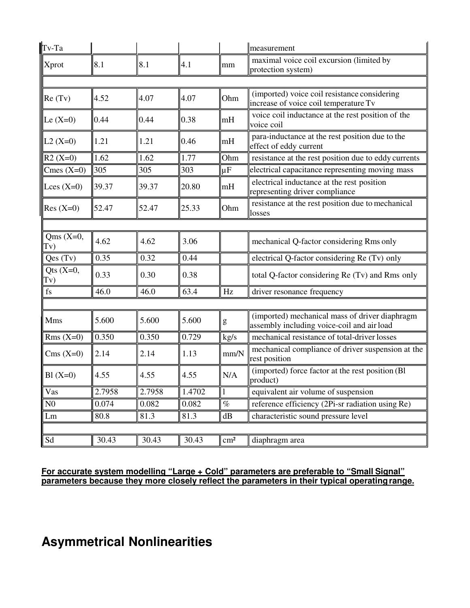| Tv-Ta              |        |        |        |                                                                                                                                                                                                                                                                                                                                                                                                                                | measurement                                                                                  |
|--------------------|--------|--------|--------|--------------------------------------------------------------------------------------------------------------------------------------------------------------------------------------------------------------------------------------------------------------------------------------------------------------------------------------------------------------------------------------------------------------------------------|----------------------------------------------------------------------------------------------|
| Xprot              | 8.1    | 8.1    | 4.1    | mm                                                                                                                                                                                                                                                                                                                                                                                                                             | maximal voice coil excursion (limited by<br>protection system)                               |
|                    |        |        |        |                                                                                                                                                                                                                                                                                                                                                                                                                                |                                                                                              |
| Re(Tv)             | 4.52   | 4.07   | 4.07   | Ohm                                                                                                                                                                                                                                                                                                                                                                                                                            | (imported) voice coil resistance considering<br>increase of voice coil temperature Tv        |
| Le $(X=0)$         | 0.44   | 0.44   | 0.38   | mH                                                                                                                                                                                                                                                                                                                                                                                                                             | voice coil inductance at the rest position of the<br>voice coil                              |
| $L2(X=0)$          | 1.21   | 1.21   | 0.46   | mH                                                                                                                                                                                                                                                                                                                                                                                                                             | para-inductance at the rest position due to the<br>effect of eddy current                    |
| $R2(X=0)$          | 1.62   | 1.62   | 1.77   | Ohm                                                                                                                                                                                                                                                                                                                                                                                                                            | resistance at the rest position due to eddy currents                                         |
| Cmes $(X=0)$       | 305    | 305    | 303    | $ \mu F$                                                                                                                                                                                                                                                                                                                                                                                                                       | electrical capacitance representing moving mass                                              |
| Lces $(X=0)$       | 39.37  | 39.37  | 20.80  | mH                                                                                                                                                                                                                                                                                                                                                                                                                             | electrical inductance at the rest position<br>representing driver compliance                 |
| $Res(X=0)$         | 52.47  | 52.47  | 25.33  | Ohm                                                                                                                                                                                                                                                                                                                                                                                                                            | resistance at the rest position due to mechanical<br>losses                                  |
|                    |        |        |        |                                                                                                                                                                                                                                                                                                                                                                                                                                |                                                                                              |
| Qms $(X=0,$<br>Tv) | 4.62   | 4.62   | 3.06   |                                                                                                                                                                                                                                                                                                                                                                                                                                | mechanical Q-factor considering Rms only                                                     |
| Qes(Tv)            | 0.35   | 0.32   | 0.44   |                                                                                                                                                                                                                                                                                                                                                                                                                                | electrical Q-factor considering Re (Tv) only                                                 |
| Qts $(X=0,$<br>Tv) | 0.33   | 0.30   | 0.38   |                                                                                                                                                                                                                                                                                                                                                                                                                                | total Q-factor considering Re (Tv) and Rms only                                              |
| fs                 | 46.0   | 46.0   | 63.4   | Hz                                                                                                                                                                                                                                                                                                                                                                                                                             | driver resonance frequency                                                                   |
|                    |        |        |        |                                                                                                                                                                                                                                                                                                                                                                                                                                |                                                                                              |
| <b>Mms</b>         | 5.600  | 5.600  | 5.600  | $\mathbf{g}% _{T}=\mathbf{g}_{T}=\mathbf{g}_{T}=\mathbf{g}_{T}=\mathbf{g}_{T}=\mathbf{g}_{T}=\mathbf{g}_{T}=\mathbf{g}_{T}=\mathbf{g}_{T}=\mathbf{g}_{T}=\mathbf{g}_{T}=\mathbf{g}_{T}=\mathbf{g}_{T}=\mathbf{g}_{T}=\mathbf{g}_{T}=\mathbf{g}_{T}=\mathbf{g}_{T}=\mathbf{g}_{T}=\mathbf{g}_{T}=\mathbf{g}_{T}=\mathbf{g}_{T}=\mathbf{g}_{T}=\mathbf{g}_{T}=\mathbf{g}_{T}=\mathbf{g}_{T}=\mathbf{g}_{T}=\mathbf{g}_{T}=\math$ | (imported) mechanical mass of driver diaphragm<br>assembly including voice-coil and air load |
| $Rms(X=0)$         | 0.350  | 0.350  | 0.729  | kg/s                                                                                                                                                                                                                                                                                                                                                                                                                           | mechanical resistance of total-driver losses                                                 |
| $Cms(X=0)$         | 2.14   | 2.14   | 1.13   | mm/N                                                                                                                                                                                                                                                                                                                                                                                                                           | mechanical compliance of driver suspension at the<br>rest position                           |
| $B1(X=0)$          | 4.55   | 4.55   | 4.55   | N/A                                                                                                                                                                                                                                                                                                                                                                                                                            | (imported) force factor at the rest position (Bl)<br>product)                                |
| Vas                | 2.7958 | 2.7958 | 1.4702 | $\mathbf{1}$                                                                                                                                                                                                                                                                                                                                                                                                                   | equivalent air volume of suspension                                                          |
| N <sub>0</sub>     | 0.074  | 0.082  | 0.082  | $\%$                                                                                                                                                                                                                                                                                                                                                                                                                           | reference efficiency (2Pi-sr radiation using Re)                                             |
| Lm                 | 80.8   | 81.3   | 81.3   | dB                                                                                                                                                                                                                                                                                                                                                                                                                             | characteristic sound pressure level                                                          |
|                    |        |        |        |                                                                                                                                                                                                                                                                                                                                                                                                                                |                                                                                              |
| Sd                 | 30.43  | 30.43  | 30.43  | $\text{cm}^2$                                                                                                                                                                                                                                                                                                                                                                                                                  | diaphragm area                                                                               |

#### **For accurate system modelling "Large + Cold" parameters are preferable to "Small Signal" parameters because they more closely reflect the parameters in their typical operating range.**

# **Asymmetrical Nonlinearities**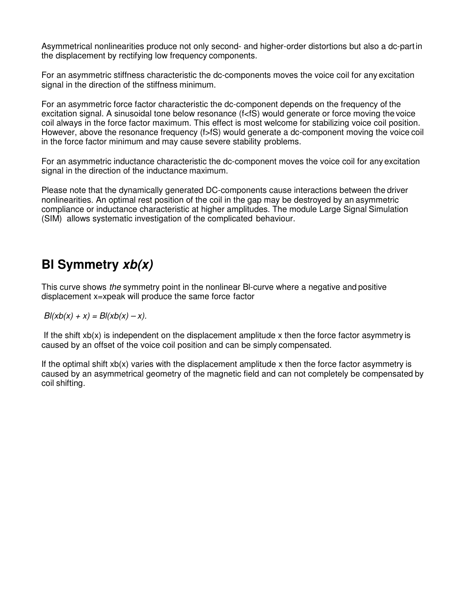Asymmetrical nonlinearities produce not only second- and higher-order distortions but also a dc-part in the displacement by rectifying low frequency components.

For an asymmetric stiffness characteristic the dc-components moves the voice coil for any excitation signal in the direction of the stiffness minimum.

For an asymmetric force factor characteristic the dc-component depends on the frequency of the excitation signal. A sinusoidal tone below resonance (f<fS) would generate or force moving the voice coil always in the force factor maximum. This effect is most welcome for stabilizing voice coil position. However, above the resonance frequency (f>fS) would generate a dc-component moving the voice coil in the force factor minimum and may cause severe stability problems.

For an asymmetric inductance characteristic the dc-component moves the voice coil for any excitation signal in the direction of the inductance maximum.

Please note that the dynamically generated DC-components cause interactions between the driver nonlinearities. An optimal rest position of the coil in the gap may be destroyed by an asymmetric compliance or inductance characteristic at higher amplitudes. The module Large Signal Simulation (SIM) allows systematic investigation of the complicated behaviour.

## **Bl Symmetry xb(x)**

This curve shows the symmetry point in the nonlinear Bl-curve where a negative and positive displacement x=xpeak will produce the same force factor

 $B(xb(x) + x) = B(xb(x) - x)$ .

If the shift  $x(x)$  is independent on the displacement amplitude x then the force factor asymmetry is caused by an offset of the voice coil position and can be simply compensated.

If the optimal shift xb(x) varies with the displacement amplitude x then the force factor asymmetry is caused by an asymmetrical geometry of the magnetic field and can not completely be compensated by coil shifting.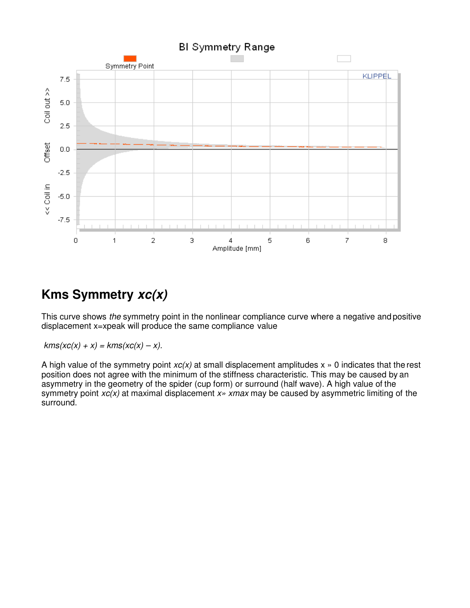

# **Kms Symmetry xc(x)**

This curve shows the symmetry point in the nonlinear compliance curve where a negative and positive displacement x=xpeak will produce the same compliance value

 $kms(xc(x) + x) = kms(xc(x) - x).$ 

A high value of the symmetry point  $xc(x)$  at small displacement amplitudes  $x \rightarrow 0$  indicates that the rest position does not agree with the minimum of the stiffness characteristic. This may be caused by an asymmetry in the geometry of the spider (cup form) or surround (half wave). A high value of the symmetry point  $xc(x)$  at maximal displacement  $x \rightarrow x$  xmax may be caused by asymmetric limiting of the surround.